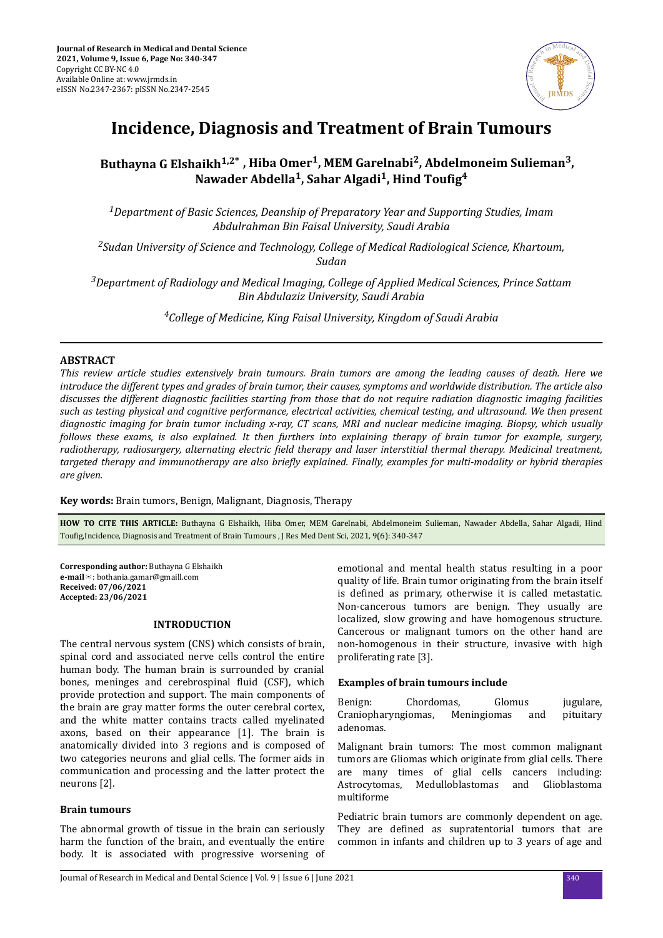

# **Incidence, Diagnosis and Treatment of Brain Tumours**

## **Buthayna G Elshaikh1,2\* , Hiba Omer<sup>1</sup> , MEM Garelnabi<sup>2</sup> , Abdelmoneim Sulieman<sup>3</sup> ,**  $\boldsymbol{\Lambda}$  Nawader Abdella<sup>1</sup>, Sahar Algadi<sup>1</sup>, Hind Toufig $^4$

*<sup>1</sup>Department of Basic Sciences, Deanship of Preparatory Year and Supporting Studies, Imam Abdulrahman Bin Faisal University, Saudi Arabia*

*<sup>2</sup>Sudan University of Science and Technology, College of Medical Radiological Science, Khartoum, Sudan*

*<sup>3</sup>Department of Radiology and Medical Imaging, College of Applied Medical Sciences, Prince Sattam Bin Abdulaziz University, Saudi Arabia*

*<sup>4</sup>College of Medicine, King Faisal University, Kingdom of Saudi Arabia*

## **ABSTRACT**

*This review article studies extensively brain tumours. Brain tumors are among the leading causes of death. Here we introduce the different types and grades of brain tumor, their causes, symptoms and worldwide distribution. The article also discusses the different diagnostic facilities starting from those that do not require radiation diagnostic imaging facilities such as testing physical and cognitive performance, electrical activities, chemical testing, and ultrasound. We then present diagnostic imaging for brain tumor including x-ray, CT scans, MRI and nuclear medicine imaging. Biopsy, which usually follows these exams, is also explained. It then furthers into explaining therapy of brain tumor for example, surgery, radiotherapy, radiosurgery, alternating electric ϔed therapy and laser interstitial thermal therapy. Medicinal treatment, targeted therapy and immunotherapy are also briefly explained. Finally, examples for multi-modality or hybrid therapies are given.*

**Key words:** Brain tumors, Benign, Malignant, Diagnosis, Therapy

**HOW TO CITE THIS ARTICLE:** Buthayna G Elshaikh, Hiba Omer, MEM Garelnabi, Abdelmoneim Sulieman, Nawader Abdella, Sahar Algadi, Hind Toufig, Incidence, Diagnosis and Treatment of Brain Tumours , J Res Med Dent Sci, 2021, 9(6): 340-347

**Corresponding author:** Buthayna G Elshaikh **e-mail**✉: bothania.gamar@gmaill.com **Received: 07/06/2021 Accepted: 23/06/2021** 

#### **INTRODUCTION**

The central nervous system (CNS) which consists of brain, spinal cord and associated nerve cells control the entire human body. The human brain is surrounded by cranial bones, meninges and cerebrospinal fluid (CSF), which provide protection and support. The main components of the brain are gray matter forms the outer cerebral cortex, and the white matter contains tracts called myelinated axons, based on their appearance [1]. The brain is anatomically divided into 3 regions and is composed of two categories neurons and glial cells. The former aids in communication and processing and the latter protect the neurons [2].

## **Brain tumours**

The abnormal growth of tissue in the brain can seriously harm the function of the brain, and eventually the entire body. It is associated with progressive worsening of

emotional and mental health status resulting in a poor quality of life. Brain tumor originating from the brain itself is defined as primary, otherwise it is called metastatic. Non-cancerous tumors are benign. They usually are localized, slow growing and have homogenous structure. Cancerous or malignant tumors on the other hand are non-homogenous in their structure, invasive with high proliferating rate [3].

#### **Examples of brain tumours include**

Benign: Chordomas, Glomus jugulare, Craniopharyngiomas, Meningiomas and pituitary adenomas.

Malignant brain tumors: The most common malignant tumors are Gliomas which originate from glial cells. There are many times of glial cells cancers including: Astrocytomas, Medulloblastomas and Glioblastoma multiforme

Pediatric brain tumors are commonly dependent on age. They are defined as supratentorial tumors that are common in infants and children up to 3 years of age and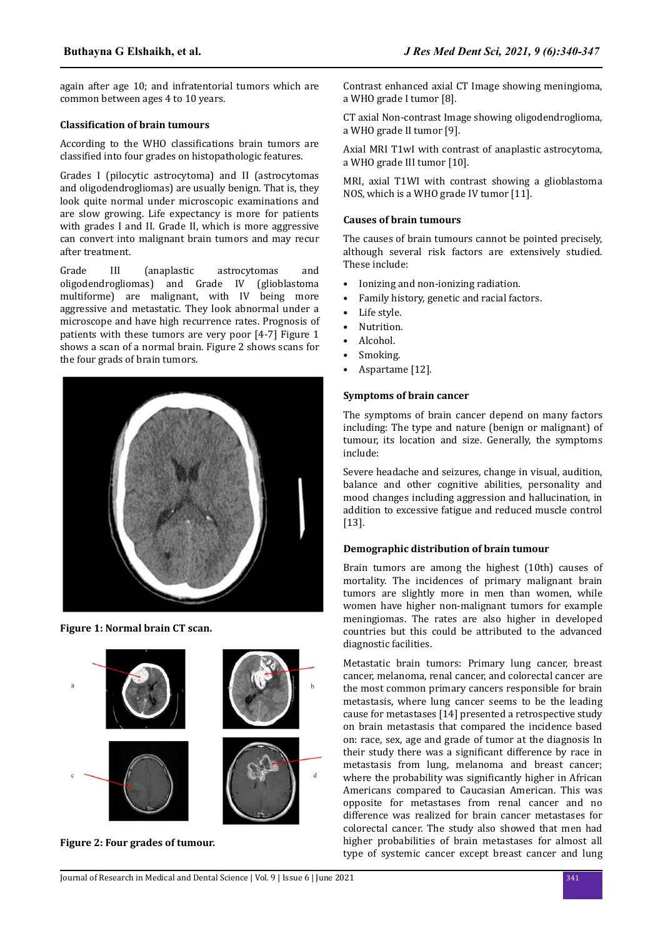again after age 10; and infratentorial tumors which are common between ages 4 to 10 years.

## **Classification of brain tumours**

According to the WHO classifications brain tumors are classified into four grades on histopathologic features.

Grades I (pilocytic astrocytoma) and II (astrocytomas and oligodendrogliomas) are usually benign. That is, they look quite normal under microscopic examinations and are slow growing. Life expectancy is more for patients with grades I and II. Grade II, which is more aggressive can convert into malignant brain tumors and may recur after treatment.

Grade III (anaplastic astrocytomas and oligodendrogliomas) and Grade IV (glioblastoma multiforme) are malignant, with IV being more aggressive and metastatic. They look abnormal under a microscope and have high recurrence rates. Prognosis of patients with these tumors are very poor [4-7] Figure 1 shows a scan of a normal brain. Figure 2 shows scans for the four grads of brain tumors.



## **Figure 1: Normal brain CT scan.**



**Figure 2: Four grades of tumour.**

Contrast enhanced axial CT Image showing meningioma, a WHO grade I tumor [8].

CT axial Non-contrast Image showing oligodendroglioma, a WHO grade II tumor [9].

Axial MRI T1wI with contrast of anaplastic astrocytoma, a WHO grade III tumor [10].

MRI, axial T1WI with contrast showing a glioblastoma NOS, which is a WHO grade IV tumor [11].

## **Causes of brain tumours**

The causes of brain tumours cannot be pointed precisely, although several risk factors are extensively studied. These include:

- Ionizing and non-ionizing radiation.
- Family history, genetic and racial factors.
- Life style.
- Nutrition.
- Alcohol.
- Smoking.
- Aspartame [12].

## **Symptoms of brain cancer**

The symptoms of brain cancer depend on many factors including: The type and nature (benign or malignant) of tumour, its location and size. Generally, the symptoms include:

Severe headache and seizures, change in visual, audition, balance and other cognitive abilities, personality and mood changes including aggression and hallucination, in addition to excessive fatigue and reduced muscle control [13].

## **Demographic distribution of brain tumour**

Brain tumors are among the highest (10th) causes of mortality. The incidences of primary malignant brain tumors are slightly more in men than women, while women have higher non-malignant tumors for example meningiomas. The rates are also higher in developed countries but this could be attributed to the advanced diagnostic facilities.

Metastatic brain tumors: Primary lung cancer, breast cancer, melanoma, renal cancer, and colorectal cancer are the most common primary cancers responsible for brain metastasis, where lung cancer seems to be the leading cause for metastases [14] presented a retrospective study on brain metastasis that compared the incidence based on: race, sex, age and grade of tumor at the diagnosis In their study there was a significant difference by race in metastasis from lung, melanoma and breast cancer; where the probability was significantly higher in African Americans compared to Caucasian American. This was opposite for metastases from renal cancer and no difference was realized for brain cancer metastases for colorectal cancer. The study also showed that men had higher probabilities of brain metastases for almost all type of systemic cancer except breast cancer and lung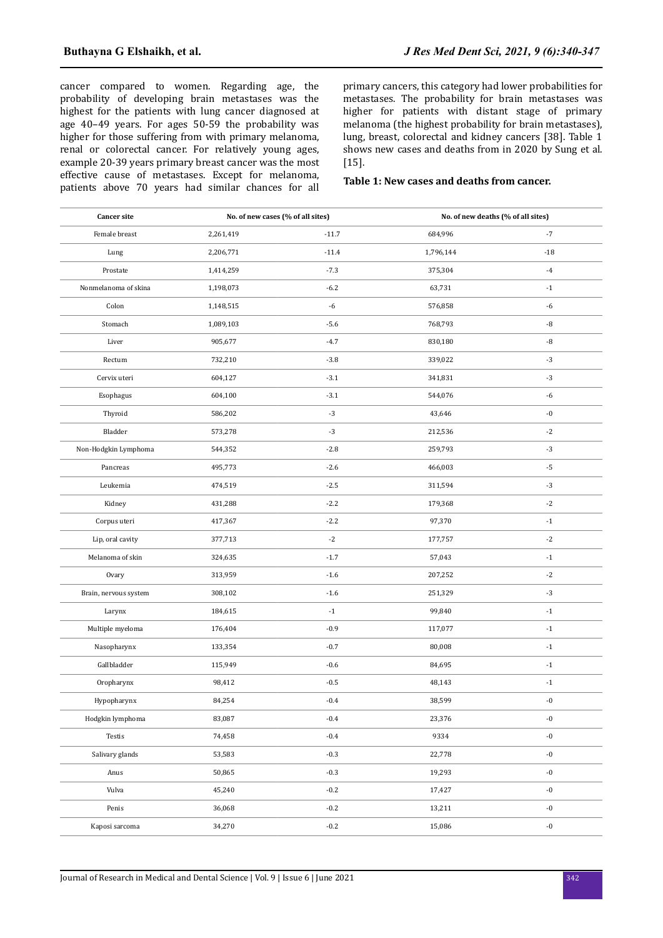cancer compared to women. Regarding age, the probability of developing brain metastases was the highest for the patients with lung cancer diagnosed at age 40–49 years. For ages 50-59 the probability was higher for those suffering from with primary melanoma, renal or colorectal cancer. For relatively young ages, example 20-39 years primary breast cancer was the most effective cause of metastases. Except for melanoma, patients above 70 years had similar chances for all primary cancers, this category had lower probabilities for metastases. The probability for brain metastases was higher for patients with distant stage of primary melanoma (the highest probability for brain metastases), lung, breast, colorectal and kidney cancers [38]. Table 1 shows new cases and deaths from in 2020 by Sung et al. [15].

## **Table 1: New cases and deaths from cancer.**

| <b>Cancer site</b>    | No. of new cases (% of all sites) |         | No. of new deaths (% of all sites) |                   |
|-----------------------|-----------------------------------|---------|------------------------------------|-------------------|
| Female breast         | 2,261,419                         | $-11.7$ | 684,996                            | $-7$              |
| Lung                  | 2,206,771                         | $-11.4$ | 1,796,144                          | $-18$             |
| Prostate              | 1,414,259                         | $-7.3$  | 375,304                            | $-4$              |
| Nonmelanoma of skina  | 1,198,073                         | $-6.2$  | 63,731                             | $-1$              |
| Colon                 | 1,148,515                         | $-6$    | 576,858                            | $-6$              |
| Stomach               | 1,089,103                         | $-5.6$  | 768,793                            | $\mbox{-}8$       |
| Liver                 | 905,677                           | $-4.7$  | 830,180                            | $\mbox{-}8$       |
| Rectum                | 732,210                           | $-3.8$  | 339,022                            | $-3$              |
| Cervix uteri          | 604,127                           | $-3.1$  | 341,831                            | $-3$              |
| Esophagus             | 604,100                           | $-3.1$  | 544,076                            | $-6$              |
| Thyroid               | 586,202                           | $-3$    | 43,646                             | $-0$              |
| Bladder               | 573,278                           | $-3$    | 212,536                            | $\textnormal{-}2$ |
| Non-Hodgkin Lymphoma  | 544,352                           | $-2.8$  | 259,793                            | $-3$              |
| Pancreas              | 495,773                           | $-2.6$  | 466,003                            | $\text{-}5$       |
| Leukemia              | 474,519                           | $-2.5$  | 311,594                            | $-3$              |
| Kidney                | 431,288                           | $-2.2$  | 179,368                            | $-2$              |
| Corpus uteri          | 417,367                           | $-2.2$  | 97,370                             | $-1$              |
| Lip, oral cavity      | 377,713                           | $-2$    | 177,757                            | $-2$              |
| Melanoma of skin      | 324,635                           | $-1.7$  | 57,043                             | $\mathbf{-1}$     |
| Ovary                 | 313,959                           | $-1.6$  | 207,252                            | $-2$              |
| Brain, nervous system | 308,102                           | $-1.6$  | 251,329                            | $-3$              |
| Larynx                | 184,615                           | $-1$    | 99,840                             | $-1$              |
| Multiple myeloma      | 176,404                           | $-0.9$  | 117,077                            | $^{\rm -1}$       |
| Nasopharynx           | 133,354                           | $-0.7$  | 80,008                             | $-1$              |
| Gallbladder           | 115,949                           | $-0.6$  | 84,695                             | $-1$              |
| Oropharynx            | 98,412                            | $-0.5$  | 48,143                             | $-1$              |
| Hypopharynx           | 84,254                            | $-0.4$  | 38,599                             | $\hbox{-}0$       |
| Hodgkin lymphoma      | 83,087                            | $-0.4$  | 23,376                             | $-0$              |
| Testis                | 74,458                            | $-0.4$  | 9334                               | $\hbox{-}0$       |
| Salivary glands       | 53,583                            | $-0.3$  | 22,778                             | $\hbox{-}0$       |
| Anus                  | 50,865                            | $-0.3$  | 19,293                             | $\mbox{-}0$       |
| Vulva                 | 45,240                            | $-0.2$  | 17,427                             | $\hbox{-}0$       |
| Penis                 | 36,068                            | $-0.2$  | 13,211                             | $\hbox{-}0$       |
| Kaposi sarcoma        | 34,270                            | $-0.2$  | 15,086                             | $\mbox{-}0$       |
|                       |                                   |         |                                    |                   |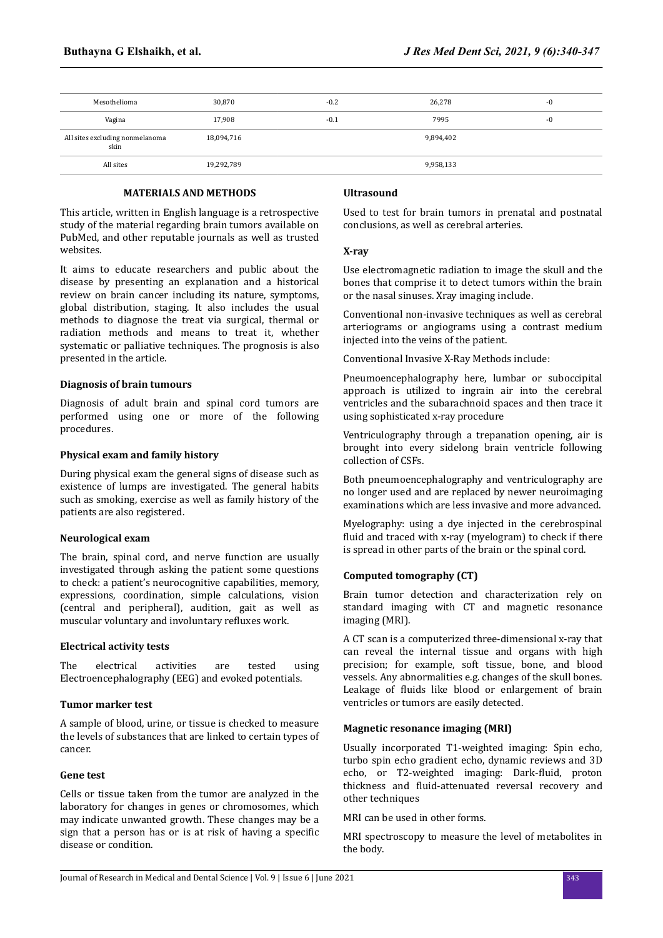| Mesothelioma                            | 30,870     | $-0.2$ | 26,278    | $-0$ |
|-----------------------------------------|------------|--------|-----------|------|
| Vagina                                  | 17,908     | $-0.1$ | 7995      | -0   |
| All sites excluding nonmelanoma<br>skin | 18,094,716 |        | 9,894,402 |      |
| All sites                               | 19,292,789 |        | 9,958,133 |      |

## **MATERIALS AND METHODS**

This article, written in English language is a retrospective study of the material regarding brain tumors available on PubMed, and other reputable journals as well as trusted websites.

It aims to educate researchers and public about the disease by presenting an explanation and a historical review on brain cancer including its nature, symptoms, global distribution, staging. It also includes the usual methods to diagnose the treat via surgical, thermal or radiation methods and means to treat it, whether systematic or palliative techniques. The prognosis is also presented in the article.

#### **Diagnosis of brain tumours**

Diagnosis of adult brain and spinal cord tumors are performed using one or more of the following procedures.

## **Physical exam and family history**

During physical exam the general signs of disease such as existence of lumps are investigated. The general habits such as smoking, exercise as well as family history of the patients are also registered.

#### **Neurological exam**

The brain, spinal cord, and nerve function are usually investigated through asking the patient some questions to check: a patient's neurocognitive capabilities, memory, expressions, coordination, simple calculations, vision (central and peripheral), audition, gait as well as muscular voluntary and involuntary refluxes work.

#### **Electrical activity tests**

The electrical activities are tested using Electroencephalography (EEG) and evoked potentials.

## **Tumor marker test**

A sample of blood, urine, or tissue is checked to measure the levels of substances that are linked to certain types of cancer.

#### **Gene test**

Cells or tissue taken from the tumor are analyzed in the laboratory for changes in genes or chromosomes, which may indicate unwanted growth. These changes may be a sign that a person has or is at risk of having a specific disease or condition.

## **Ultrasound**

Used to test for brain tumors in prenatal and postnatal conclusions, as well as cerebral arteries.

## **X-ray**

Use electromagnetic radiation to image the skull and the bones that comprise it to detect tumors within the brain or the nasal sinuses. Xray imaging include.

Conventional non-invasive techniques as well as cerebral arteriograms or angiograms using a contrast medium injected into the veins of the patient.

Conventional Invasive X-Ray Methods include:

Pneumoencephalography here, lumbar or suboccipital approach is utilized to ingrain air into the cerebral ventricles and the subarachnoid spaces and then trace it using sophisticated x-ray procedure

Ventriculography through a trepanation opening, air is brought into every sidelong brain ventricle following collection of CSFs.

Both pneumoencephalography and ventriculography are no longer used and are replaced by newer neuroimaging examinations which are less invasive and more advanced.

Myelography: using a dye injected in the cerebrospinal fluid and traced with x-ray (myelogram) to check if there is spread in other parts of the brain or the spinal cord.

## **Computed tomography (CT)**

Brain tumor detection and characterization rely on standard imaging with CT and magnetic resonance imaging (MRI).

A CT scan is a computerized three-dimensional x-ray that can reveal the internal tissue and organs with high precision; for example, soft tissue, bone, and blood vessels. Any abnormalities e.g. changes of the skull bones. Leakage of fluids like blood or enlargement of brain ventricles or tumors are easily detected.

## **Magnetic resonance imaging (MRI)**

Usually incorporated T1-weighted imaging: Spin echo, turbo spin echo gradient echo, dynamic reviews and 3D echo, or T2-weighted imaging: Dark-fluid, proton thickness and fluid-attenuated reversal recovery and other techniques

MRI can be used in other forms.

MRI spectroscopy to measure the level of metabolites in the body.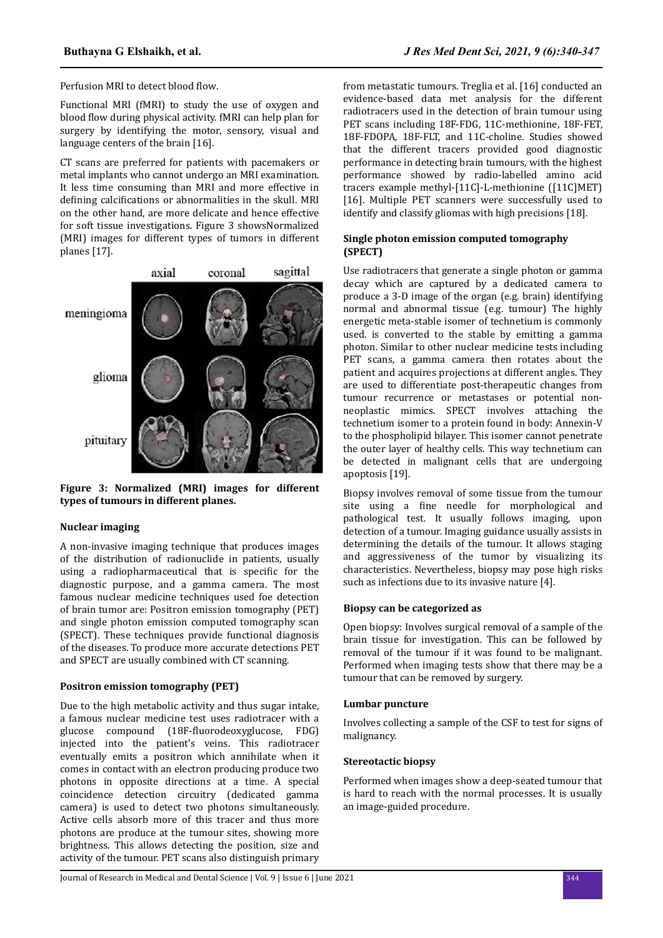Perfusion MRI to detect blood flow

Functional MRI (fMRI) to study the use of oxygen and blood flow during physical activity. fMRI can help plan for surgery by identifying the motor, sensory, visual and language centers of the brain [16].

CT scans are preferred for patients with pacemakers or metal implants who cannot undergo an MRI examination. It less time consuming than MRI and more effective in defining calcifications or abnormalities in the skull. MRI on the other hand, are more delicate and hence effective for soft tissue investigations. Figure 3 showsNormalized (MRI) images for different types of tumors in different planes [17].



**Figure 3: Normalized (MRI) images for different types of tumours in different planes.**

## **Nuclear imaging**

A non-invasive imaging technique that produces images of the distribution of radionuclide in patients, usually using a radiopharmaceutical that is specific for the diagnostic purpose, and a gamma camera. The most famous nuclear medicine techniques used foe detection of brain tumor are: Positron emission tomography (PET) and single photon emission computed tomography scan (SPECT). These techniques provide functional diagnosis of the diseases. To produce more accurate detections PET and SPECT are usually combined with CT scanning.

#### **Positron emission tomography (PET)**

Due to the high metabolic activity and thus sugar intake, a famous nuclear medicine test uses radiotracer with a glucose compound (18F-fluorodeoxyglucose, FDG) injected into the patient's veins. This radiotracer eventually emits a positron which annihilate when it comes in contact with an electron producing produce two photons in opposite directions at a time. A special coincidence detection circuitry (dedicated gamma camera) is used to detect two photons simultaneously. Active cells absorb more of this tracer and thus more photons are produce at the tumour sites, showing more brightness. This allows detecting the position, size and activity of the tumour. PET scans also distinguish primary

from metastatic tumours. Treglia et al. [16] conducted an evidence-based data met analysis for the different radiotracers used in the detection of brain tumour using PET scans including 18F-FDG, 11C-methionine, 18F-FET, 18F-FDOPA, 18F-FLT, and 11C-choline. Studies showed that the different tracers provided good diagnostic performance in detecting brain tumours, with the highest performance showed by radio-labelled amino acid tracers example methyl-[11C]-L-methionine ([11C]MET) [16]. Multiple PET scanners were successfully used to identify and classify gliomas with high precisions [18].

## **Single photon emission computed tomography (SPECT)**

Use radiotracers that generate a single photon or gamma decay which are captured by a dedicated camera to produce a 3-D image of the organ (e.g. brain) identifying normal and abnormal tissue (e.g. tumour) The highly energetic meta-stable isomer of technetium is commonly used. is converted to the stable by emitting a gamma photon. Similar to other nuclear medicine tests including PET scans, a gamma camera then rotates about the patient and acquires projections at different angles. They are used to differentiate post-therapeutic changes from tumour recurrence or metastases or potential nonneoplastic mimics. SPECT involves attaching the technetium isomer to a protein found in body: Annexin-V to the phospholipid bilayer. This isomer cannot penetrate the outer layer of healthy cells. This way technetium can be detected in malignant cells that are undergoing apoptosis [19].

Biopsy involves removal of some tissue from the tumour site using a fine needle for morphological and pathological test. It usually follows imaging, upon detection of a tumour. Imaging guidance usually assists in determining the details of the tumour. It allows staging and aggressiveness of the tumor by visualizing its characteristics. Nevertheless, biopsy may pose high risks such as infections due to its invasive nature [4].

## **Biopsy can be categorized as**

Open biopsy: Involves surgical removal of a sample of the brain tissue for investigation. This can be followed by removal of the tumour if it was found to be malignant. Performed when imaging tests show that there may be a tumour that can be removed by surgery.

#### **Lumbar puncture**

Involves collecting a sample of the CSF to test for signs of malignancy.

## **Stereotactic biopsy**

Performed when images show a deep-seated tumour that is hard to reach with the normal processes. It is usually an image-guided procedure.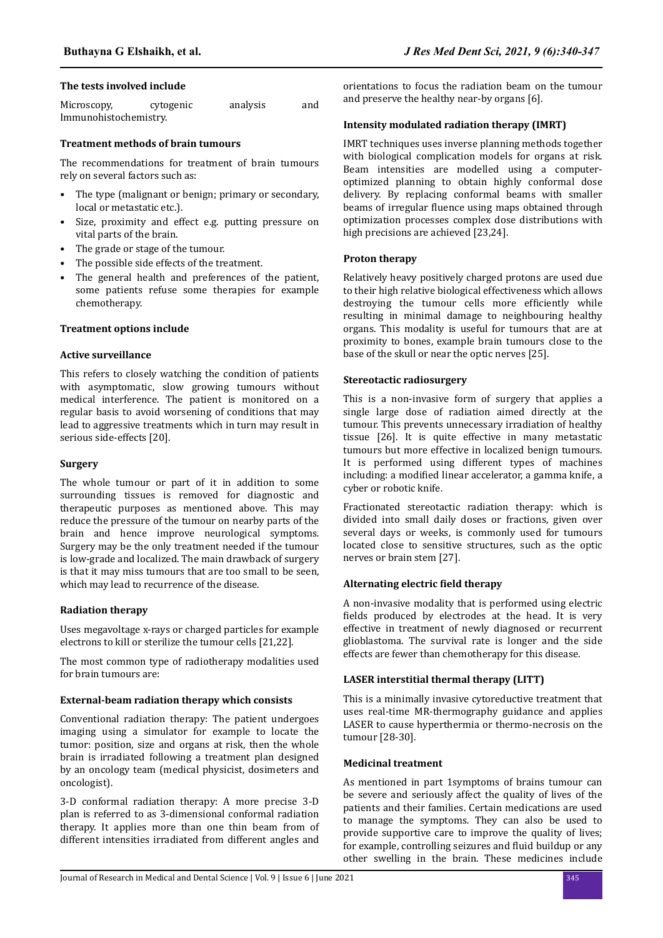## **The tests involved include**

| Microscopy,           | cytogenic | analysis | and |
|-----------------------|-----------|----------|-----|
| Immunohistochemistry. |           |          |     |

## **Treatment methods of brain tumours**

The recommendations for treatment of brain tumours rely on several factors such as:

- The type (malignant or benign; primary or secondary, local or metastatic etc.).
- Size, proximity and effect e.g. putting pressure on vital parts of the brain.
- The grade or stage of the tumour.
- The possible side effects of the treatment.
- The general health and preferences of the patient, some patients refuse some therapies for example chemotherapy.

## **Treatment options include**

## **Active surveillance**

This refers to closely watching the condition of patients with asymptomatic, slow growing tumours without medical interference. The patient is monitored on a regular basis to avoid worsening of conditions that may lead to aggressive treatments which in turn may result in serious side-effects [20].

#### **Surgery**

The whole tumour or part of it in addition to some surrounding tissues is removed for diagnostic and therapeutic purposes as mentioned above. This may reduce the pressure of the tumour on nearby parts of the brain and hence improve neurological symptoms. Surgery may be the only treatment needed if the tumour is low-grade and localized. The main drawback of surgery is that it may miss tumours that are too small to be seen, which may lead to recurrence of the disease.

#### **Radiation therapy**

Uses megavoltage x-rays or charged particles for example electrons to kill or sterilize the tumour cells [21,22].

The most common type of radiotherapy modalities used for brain tumours are:

## **External-beam radiation therapy which consists**

Conventional radiation therapy: The patient undergoes imaging using a simulator for example to locate the tumor: position, size and organs at risk, then the whole brain is irradiated following a treatment plan designed by an oncology team (medical physicist, dosimeters and oncologist).

3-D conformal radiation therapy: A more precise 3-D plan is referred to as 3-dimensional conformal radiation therapy. It applies more than one thin beam from of different intensities irradiated from different angles and

orientations to focus the radiation beam on the tumour and preserve the healthy near-by organs [6].

## **Intensity modulated radiation therapy (IMRT)**

IMRT techniques uses inverse planning methods together with biological complication models for organs at risk. Beam intensities are modelled using a computeroptimized planning to obtain highly conformal dose delivery. By replacing conformal beams with smaller beams of irregular fluence using maps obtained through optimization processes complex dose distributions with high precisions are achieved [23,24].

## **Proton therapy**

Relatively heavy positively charged protons are used due to their high relative biological effectiveness which allows destroving the tumour cells more efficiently while resulting in minimal damage to neighbouring healthy organs. This modality is useful for tumours that are at proximity to bones, example brain tumours close to the base of the skull or near the optic nerves [25].

#### **Stereotactic radiosurgery**

This is a non-invasive form of surgery that applies a single large dose of radiation aimed directly at the tumour. This prevents unnecessary irradiation of healthy tissue [26]. It is quite effective in many metastatic tumours but more effective in localized benign tumours. It is performed using different types of machines including: a modified linear accelerator, a gamma knife, a cyber or robotic knife.

Fractionated stereotactic radiation therapy: which is divided into small daily doses or fractions, given over several days or weeks, is commonly used for tumours located close to sensitive structures, such as the optic nerves or brain stem [27].

#### **Alternating electric field therapy**

A non-invasive modality that is performed using electric fields produced by electrodes at the head. It is very effective in treatment of newly diagnosed or recurrent glioblastoma. The survival rate is longer and the side effects are fewer than chemotherapy for this disease.

### **LASER interstitial thermal therapy (LITT)**

This is a minimally invasive cytoreductive treatment that uses real-time MR-thermography guidance and applies LASER to cause hyperthermia or thermo-necrosis on the tumour [28-30].

## **Medicinal treatment**

As mentioned in part 1symptoms of brains tumour can be severe and seriously affect the quality of lives of the patients and their families. Certain medications are used to manage the symptoms. They can also be used to provide supportive care to improve the quality of lives; for example, controlling seizures and fluid buildup or any other swelling in the brain. These medicines include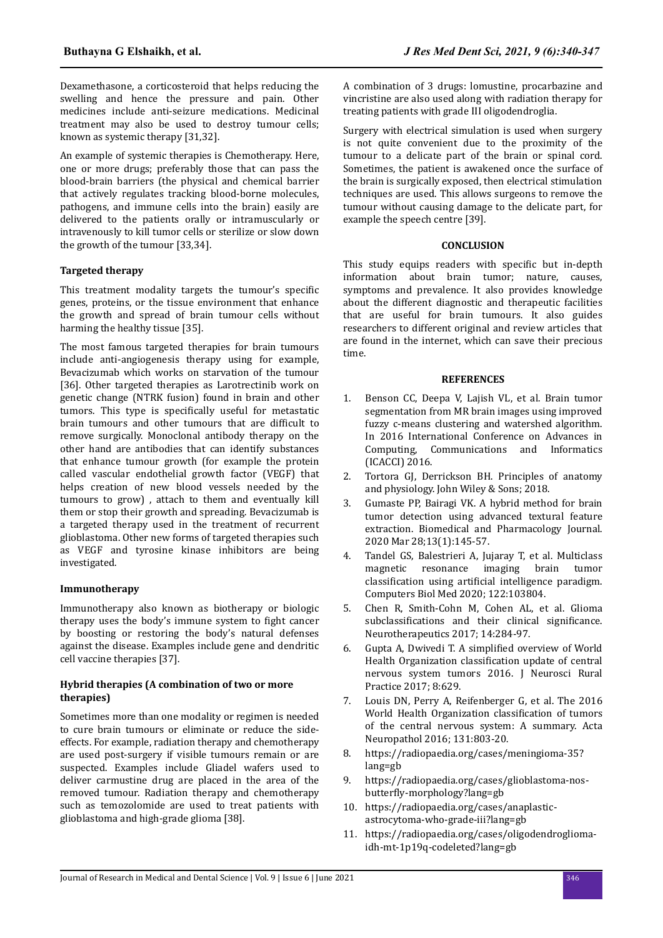Dexamethasone, a corticosteroid that helps reducing the swelling and hence the pressure and pain. Other medicines include anti-seizure medications. Medicinal treatment may also be used to destroy tumour cells; known as systemic therapy [31,32].

An example of systemic therapies is Chemotherapy. Here, one or more drugs; preferably those that can pass the blood-brain barriers (the physical and chemical barrier that actively regulates tracking blood-borne molecules, pathogens, and immune cells into the brain) easily are delivered to the patients orally or intramuscularly or intravenously to kill tumor cells or sterilize or slow down the growth of the tumour [33,34].

## **Targeted therapy**

This treatment modality targets the tumour's specific genes, proteins, or the tissue environment that enhance the growth and spread of brain tumour cells without harming the healthy tissue [35].

The most famous targeted therapies for brain tumours include anti-angiogenesis therapy using for example, Bevacizumab which works on starvation of the tumour [36]. Other targeted therapies as Larotrectinib work on genetic change (NTRK fusion) found in brain and other tumors. This type is specifically useful for metastatic brain tumours and other tumours that are difficult to remove surgically. Monoclonal antibody therapy on the other hand are antibodies that can identify substances that enhance tumour growth (for example the protein called vascular endothelial growth factor (VEGF) that helps creation of new blood vessels needed by the tumours to grow) , attach to them and eventually kill them or stop their growth and spreading. Bevacizumab is a targeted therapy used in the treatment of recurrent glioblastoma. Other new forms of targeted therapies such as VEGF and tyrosine kinase inhibitors are being investigated.

## **Immunotherapy**

Immunotherapy also known as biotherapy or biologic therapy uses the body's immune system to fight cancer by boosting or restoring the body's natural defenses against the disease. Examples include gene and dendritic cell vaccine therapies [37].

## **Hybrid therapies (A combination of two or more therapies)**

Sometimes more than one modality or regimen is needed to cure brain tumours or eliminate or reduce the sideeffects. For example, radiation therapy and chemotherapy are used post-surgery if visible tumours remain or are suspected. Examples include Gliadel wafers used to deliver carmustine drug are placed in the area of the removed tumour. Radiation therapy and chemotherapy such as temozolomide are used to treat patients with glioblastoma and high-grade glioma [38].

A combination of 3 drugs: lomustine, procarbazine and vincristine are also used along with radiation therapy for treating patients with grade III oligodendroglia.

Surgery with electrical simulation is used when surgery is not quite convenient due to the proximity of the tumour to a delicate part of the brain or spinal cord. Sometimes, the patient is awakened once the surface of the brain is surgically exposed, then electrical stimulation techniques are used. This allows surgeons to remove the tumour without causing damage to the delicate part, for example the speech centre [39].

## **CONCLUSION**

This study equips readers with specific but in-depth information about brain tumor; nature, causes, symptoms and prevalence. It also provides knowledge about the different diagnostic and therapeutic facilities that are useful for brain tumours. It also guides researchers to different original and review articles that are found in the internet, which can save their precious time.

#### **REFERENCES**

- 1. Benson CC, Deepa V, Lajish VL, et al. Brain tumor segmentation from MR brain images using improved fuzzy c-means clustering and watershed algorithm. In 2016 International Conference on Advances in Computing, Communications and Informatics (ICACCI) 2016.
- 2. Tortora GJ, Derrickson BH. Principles of anatomy and physiology. John Wiley & Sons; 2018.
- 3. Gumaste PP, Bairagi VK. A hybrid method for brain tumor detection using advanced textural feature extraction. Biomedical and Pharmacology Journal. 2020 Mar 28;13(1):145-57.
- 4. Tandel GS, Balestrieri A, Jujaray T, et al. Multiclass magnetic resonance imaging brain tumor classification using artificial intelligence paradigm. Computers Biol Med 2020; 122:103804.
- 5. Chen R, Smith-Cohn M, Cohen AL, et al. Glioma subclassifications and their clinical significance. Neurotherapeutics 2017; 14:284-97.
- 6. Gupta A, Dwivedi T, A simplified overview of World Health Organization classification update of central nervous system tumors 2016. J Neurosci Rural Practice 2017; 8:629.
- 7. Louis DN, Perry A, Reifenberger G, et al. The 2016 World Health Organization classification of tumors of the central nervous system: A summary. Acta Neuropathol 2016; 131:803-20.
- 8. https://radiopaedia.org/cases/meningioma-35? lang=gb
- 9. https://radiopaedia.org/cases/glioblastoma-nosbutterfly-morphology?lang=gb
- 10. https://radiopaedia.org/cases/anaplasticastrocytoma-who-grade-iii?lang=gb
- 11. https://radiopaedia.org/cases/oligodendrogliomaidh-mt-1p19q-codeleted?lang=gb